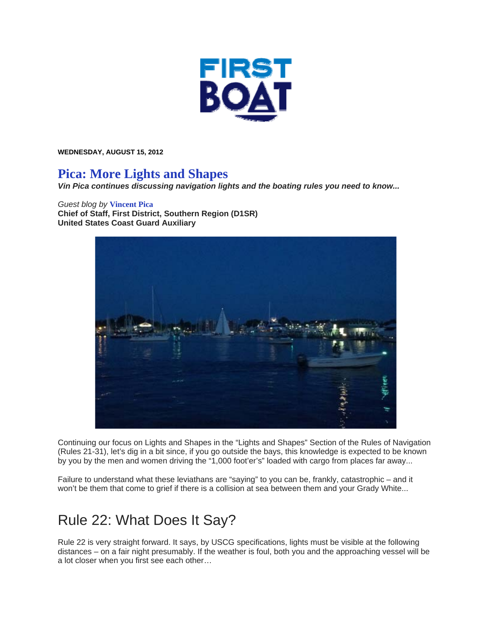

**WEDNESDAY, AUGUST 15, 2012** 

#### **Pica: More Lights and Shapes**

*Vin Pica continues discussing navigation lights and the boating rules you need to know...* 

#### *Guest blog by* **Vincent Pica**

**Chief of Staff, First District, Southern Region (D1SR) United States Coast Guard Auxiliary**



Continuing our focus on Lights and Shapes in the "Lights and Shapes" Section of the Rules of Navigation (Rules 21-31), let's dig in a bit since, if you go outside the bays, this knowledge is expected to be known by you by the men and women driving the "1,000 foot'er's" loaded with cargo from places far away...

Failure to understand what these leviathans are "saying" to you can be, frankly, catastrophic – and it won't be them that come to grief if there is a collision at sea between them and your Grady White...

# Rule 22: What Does It Say?

Rule 22 is very straight forward. It says, by USCG specifications, lights must be visible at the following distances – on a fair night presumably. If the weather is foul, both you and the approaching vessel will be a lot closer when you first see each other…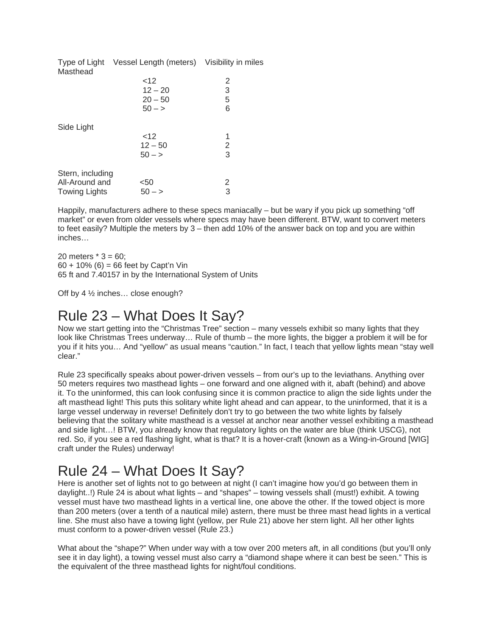| Masthead             | Type of Light Vessel Length (meters) Visibility in miles |   |
|----------------------|----------------------------------------------------------|---|
|                      | ~12                                                      | 2 |
|                      | $12 - 20$                                                | 3 |
|                      | $20 - 50$                                                | 5 |
|                      | $50 - y$                                                 | 6 |
| Side Light           |                                                          |   |
|                      | 12                                                       | 1 |
|                      | $12 - 50$                                                | 2 |
|                      | $50 - y$                                                 | 3 |
| Stern, including     |                                                          |   |
| All-Around and       | <50<br>$50 - y$                                          | 2 |
| <b>Towing Lights</b> |                                                          | 3 |

Happily, manufacturers adhere to these specs maniacally – but be wary if you pick up something "off market" or even from older vessels where specs may have been different. BTW, want to convert meters to feet easily? Multiple the meters by 3 – then add 10% of the answer back on top and you are within inches…

20 meters  $* 3 = 60$ ; 60 + 10% (6) = 66 feet by Capt'n Vin 65 ft and 7.40157 in by the International System of Units

Off by 4 ½ inches… close enough?

### Rule 23 – What Does It Say?

Now we start getting into the "Christmas Tree" section – many vessels exhibit so many lights that they look like Christmas Trees underway… Rule of thumb – the more lights, the bigger a problem it will be for you if it hits you… And "yellow" as usual means "caution." In fact, I teach that yellow lights mean "stay well clear."

Rule 23 specifically speaks about power-driven vessels – from our's up to the leviathans. Anything over 50 meters requires two masthead lights – one forward and one aligned with it, abaft (behind) and above it. To the uninformed, this can look confusing since it is common practice to align the side lights under the aft masthead light! This puts this solitary white light ahead and can appear, to the uninformed, that it is a large vessel underway in reverse! Definitely don't try to go between the two white lights by falsely believing that the solitary white masthead is a vessel at anchor near another vessel exhibiting a masthead and side light…! BTW, you already know that regulatory lights on the water are blue (think USCG), not red. So, if you see a red flashing light, what is that? It is a hover-craft (known as a Wing-in-Ground [WIG] craft under the Rules) underway!

# Rule 24 – What Does It Say?

Here is another set of lights not to go between at night (I can't imagine how you'd go between them in daylight..!) Rule 24 is about what lights – and "shapes" – towing vessels shall (must!) exhibit. A towing vessel must have two masthead lights in a vertical line, one above the other. If the towed object is more than 200 meters (over a tenth of a nautical mile) astern, there must be three mast head lights in a vertical line. She must also have a towing light (yellow, per Rule 21) above her stern light. All her other lights must conform to a power-driven vessel (Rule 23.)

What about the "shape?" When under way with a tow over 200 meters aft, in all conditions (but you'll only see it in day light), a towing vessel must also carry a "diamond shape where it can best be seen." This is the equivalent of the three masthead lights for night/foul conditions.